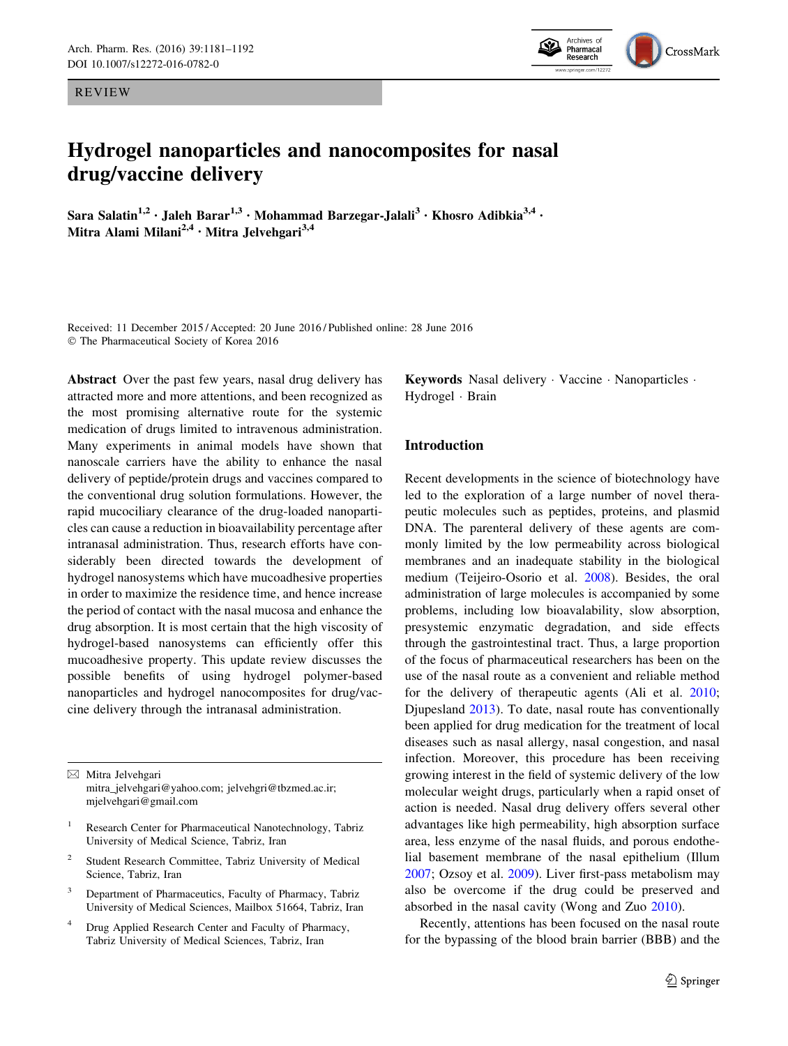REVIEW

# Hydrogel nanoparticles and nanocomposites for nasal drug/vaccine delivery

Sara Salatin<sup>1,2</sup> • Jaleh Barar<sup>1,3</sup> • Mohammad Barzegar-Jalali<sup>3</sup> • Khosro Adibkia<sup>3,4</sup> • Mitra Alami Milani<sup>2,4</sup> · Mitra Jelvehøari<sup>3,4</sup>

Received: 11 December 2015 / Accepted: 20 June 2016 / Published online: 28 June 2016 © The Pharmaceutical Society of Korea 2016

Abstract Over the past few years, nasal drug delivery has attracted more and more attentions, and been recognized as the most promising alternative route for the systemic medication of drugs limited to intravenous administration. Many experiments in animal models have shown that nanoscale carriers have the ability to enhance the nasal delivery of peptide/protein drugs and vaccines compared to the conventional drug solution formulations. However, the rapid mucociliary clearance of the drug-loaded nanoparticles can cause a reduction in bioavailability percentage after intranasal administration. Thus, research efforts have considerably been directed towards the development of hydrogel nanosystems which have mucoadhesive properties in order to maximize the residence time, and hence increase the period of contact with the nasal mucosa and enhance the drug absorption. It is most certain that the high viscosity of hydrogel-based nanosystems can efficiently offer this mucoadhesive property. This update review discusses the possible benefits of using hydrogel polymer-based nanoparticles and hydrogel nanocomposites for drug/vaccine delivery through the intranasal administration.

 $\boxtimes$  Mitra Jelvehgari mitra\_jelvehgari@yahoo.com; jelvehgri@tbzmed.ac.ir; mjelvehgari@gmail.com

- <sup>1</sup> Research Center for Pharmaceutical Nanotechnology, Tabriz University of Medical Science, Tabriz, Iran
- <sup>2</sup> Student Research Committee, Tabriz University of Medical Science, Tabriz, Iran
- Department of Pharmaceutics, Faculty of Pharmacy, Tabriz University of Medical Sciences, Mailbox 51664, Tabriz, Iran
- Drug Applied Research Center and Faculty of Pharmacy, Tabriz University of Medical Sciences, Tabriz, Iran



## Introduction

Recent developments in the science of biotechnology have led to the exploration of a large number of novel therapeutic molecules such as peptides, proteins, and plasmid DNA. The parenteral delivery of these agents are commonly limited by the low permeability across biological membranes and an inadequate stability in the biological medium (Teijeiro-Osorio et al. [2008\)](#page-11-0). Besides, the oral administration of large molecules is accompanied by some problems, including low bioavalability, slow absorption, presystemic enzymatic degradation, and side effects through the gastrointestinal tract. Thus, a large proportion of the focus of pharmaceutical researchers has been on the use of the nasal route as a convenient and reliable method for the delivery of therapeutic agents (Ali et al. [2010](#page-9-0); Djupesland [2013\)](#page-9-0). To date, nasal route has conventionally been applied for drug medication for the treatment of local diseases such as nasal allergy, nasal congestion, and nasal infection. Moreover, this procedure has been receiving growing interest in the field of systemic delivery of the low molecular weight drugs, particularly when a rapid onset of action is needed. Nasal drug delivery offers several other advantages like high permeability, high absorption surface area, less enzyme of the nasal fluids, and porous endothelial basement membrane of the nasal epithelium (Illum [2007](#page-10-0); Ozsoy et al. [2009](#page-10-0)). Liver first-pass metabolism may also be overcome if the drug could be preserved and absorbed in the nasal cavity (Wong and Zuo [2010](#page-11-0)).

Recently, attentions has been focused on the nasal route for the bypassing of the blood brain barrier (BBB) and the

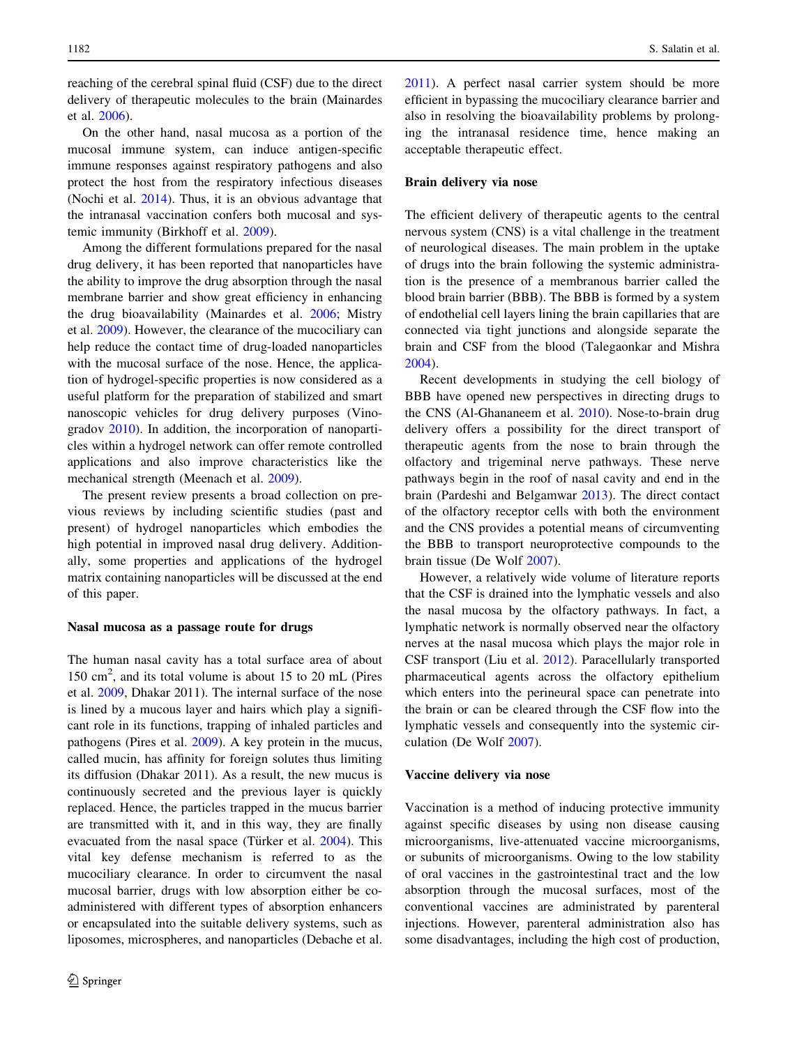reaching of the cerebral spinal fluid (CSF) due to the direct delivery of therapeutic molecules to the brain (Mainardes et al. [2006\)](#page-10-0).

On the other hand, nasal mucosa as a portion of the mucosal immune system, can induce antigen-specific immune responses against respiratory pathogens and also protect the host from the respiratory infectious diseases (Nochi et al. [2014\)](#page-10-0). Thus, it is an obvious advantage that the intranasal vaccination confers both mucosal and systemic immunity (Birkhoff et al. [2009\)](#page-9-0).

Among the different formulations prepared for the nasal drug delivery, it has been reported that nanoparticles have the ability to improve the drug absorption through the nasal membrane barrier and show great efficiency in enhancing the drug bioavailability (Mainardes et al. [2006](#page-10-0); Mistry et al. [2009](#page-10-0)). However, the clearance of the mucociliary can help reduce the contact time of drug-loaded nanoparticles with the mucosal surface of the nose. Hence, the application of hydrogel-specific properties is now considered as a useful platform for the preparation of stabilized and smart nanoscopic vehicles for drug delivery purposes (Vinogradov [2010](#page-11-0)). In addition, the incorporation of nanoparticles within a hydrogel network can offer remote controlled applications and also improve characteristics like the mechanical strength (Meenach et al. [2009\)](#page-10-0).

The present review presents a broad collection on previous reviews by including scientific studies (past and present) of hydrogel nanoparticles which embodies the high potential in improved nasal drug delivery. Additionally, some properties and applications of the hydrogel matrix containing nanoparticles will be discussed at the end of this paper.

## Nasal mucosa as a passage route for drugs

The human nasal cavity has a total surface area of about 150 cm<sup>2</sup> , and its total volume is about 15 to 20 mL (Pires et al. [2009,](#page-10-0) Dhakar 2011). The internal surface of the nose is lined by a mucous layer and hairs which play a significant role in its functions, trapping of inhaled particles and pathogens (Pires et al. [2009\)](#page-10-0). A key protein in the mucus, called mucin, has affinity for foreign solutes thus limiting its diffusion (Dhakar 2011). As a result, the new mucus is continuously secreted and the previous layer is quickly replaced. Hence, the particles trapped in the mucus barrier are transmitted with it, and in this way, they are finally evacuated from the nasal space (Türker et al. [2004\)](#page-11-0). This vital key defense mechanism is referred to as the mucociliary clearance. In order to circumvent the nasal mucosal barrier, drugs with low absorption either be coadministered with different types of absorption enhancers or encapsulated into the suitable delivery systems, such as liposomes, microspheres, and nanoparticles (Debache et al. [2011](#page-9-0)). A perfect nasal carrier system should be more efficient in bypassing the mucociliary clearance barrier and also in resolving the bioavailability problems by prolonging the intranasal residence time, hence making an acceptable therapeutic effect.

## Brain delivery via nose

The efficient delivery of therapeutic agents to the central nervous system (CNS) is a vital challenge in the treatment of neurological diseases. The main problem in the uptake of drugs into the brain following the systemic administration is the presence of a membranous barrier called the blood brain barrier (BBB). The BBB is formed by a system of endothelial cell layers lining the brain capillaries that are connected via tight junctions and alongside separate the brain and CSF from the blood (Talegaonkar and Mishra [2004](#page-11-0)).

Recent developments in studying the cell biology of BBB have opened new perspectives in directing drugs to the CNS (Al-Ghananeem et al. [2010](#page-9-0)). Nose-to-brain drug delivery offers a possibility for the direct transport of therapeutic agents from the nose to brain through the olfactory and trigeminal nerve pathways. These nerve pathways begin in the roof of nasal cavity and end in the brain (Pardeshi and Belgamwar [2013\)](#page-10-0). The direct contact of the olfactory receptor cells with both the environment and the CNS provides a potential means of circumventing the BBB to transport neuroprotective compounds to the brain tissue (De Wolf [2007](#page-9-0)).

However, a relatively wide volume of literature reports that the CSF is drained into the lymphatic vessels and also the nasal mucosa by the olfactory pathways. In fact, a lymphatic network is normally observed near the olfactory nerves at the nasal mucosa which plays the major role in CSF transport (Liu et al. [2012\)](#page-10-0). Paracellularly transported pharmaceutical agents across the olfactory epithelium which enters into the perineural space can penetrate into the brain or can be cleared through the CSF flow into the lymphatic vessels and consequently into the systemic circulation (De Wolf [2007\)](#page-9-0).

## Vaccine delivery via nose

Vaccination is a method of inducing protective immunity against specific diseases by using non disease causing microorganisms, live-attenuated vaccine microorganisms, or subunits of microorganisms. Owing to the low stability of oral vaccines in the gastrointestinal tract and the low absorption through the mucosal surfaces, most of the conventional vaccines are administrated by parenteral injections. However, parenteral administration also has some disadvantages, including the high cost of production,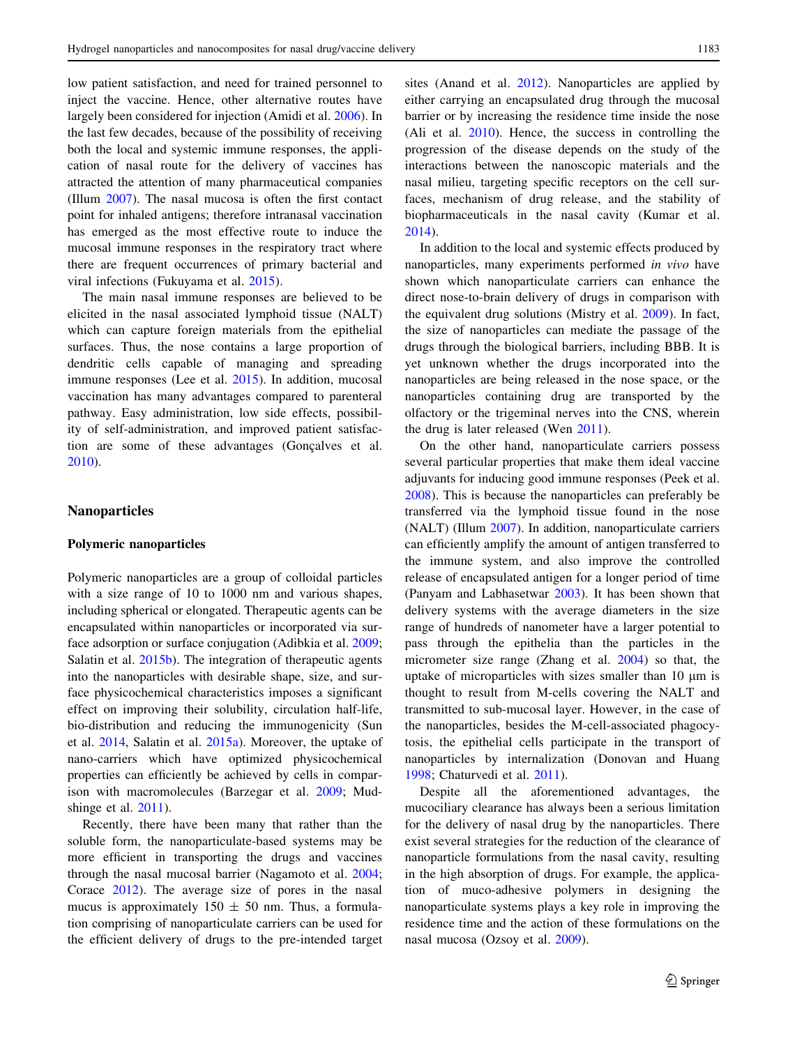low patient satisfaction, and need for trained personnel to inject the vaccine. Hence, other alternative routes have largely been considered for injection (Amidi et al. [2006\)](#page-9-0). In the last few decades, because of the possibility of receiving both the local and systemic immune responses, the application of nasal route for the delivery of vaccines has attracted the attention of many pharmaceutical companies (Illum [2007](#page-10-0)). The nasal mucosa is often the first contact point for inhaled antigens; therefore intranasal vaccination has emerged as the most effective route to induce the mucosal immune responses in the respiratory tract where there are frequent occurrences of primary bacterial and viral infections (Fukuyama et al. [2015](#page-10-0)).

The main nasal immune responses are believed to be elicited in the nasal associated lymphoid tissue (NALT) which can capture foreign materials from the epithelial surfaces. Thus, the nose contains a large proportion of dendritic cells capable of managing and spreading immune responses (Lee et al. [2015\)](#page-10-0). In addition, mucosal vaccination has many advantages compared to parenteral pathway. Easy administration, low side effects, possibility of self-administration, and improved patient satisfaction are some of these advantages (Gonçalves et al. [2010\)](#page-10-0).

# Nanoparticles

#### Polymeric nanoparticles

Polymeric nanoparticles are a group of colloidal particles with a size range of 10 to 1000 nm and various shapes, including spherical or elongated. Therapeutic agents can be encapsulated within nanoparticles or incorporated via surface adsorption or surface conjugation (Adibkia et al. [2009](#page-9-0); Salatin et al. [2015b](#page-11-0)). The integration of therapeutic agents into the nanoparticles with desirable shape, size, and surface physicochemical characteristics imposes a significant effect on improving their solubility, circulation half-life, bio-distribution and reducing the immunogenicity (Sun et al. [2014,](#page-11-0) Salatin et al. [2015a](#page-11-0)). Moreover, the uptake of nano-carriers which have optimized physicochemical properties can efficiently be achieved by cells in comparison with macromolecules (Barzegar et al. [2009;](#page-9-0) Mudshinge et al. [2011](#page-10-0)).

Recently, there have been many that rather than the soluble form, the nanoparticulate-based systems may be more efficient in transporting the drugs and vaccines through the nasal mucosal barrier (Nagamoto et al. [2004](#page-10-0); Corace [2012](#page-9-0)). The average size of pores in the nasal mucus is approximately  $150 \pm 50$  nm. Thus, a formulation comprising of nanoparticulate carriers can be used for the efficient delivery of drugs to the pre-intended target sites (Anand et al. [2012\)](#page-9-0). Nanoparticles are applied by either carrying an encapsulated drug through the mucosal barrier or by increasing the residence time inside the nose (Ali et al. [2010](#page-9-0)). Hence, the success in controlling the progression of the disease depends on the study of the interactions between the nanoscopic materials and the nasal milieu, targeting specific receptors on the cell surfaces, mechanism of drug release, and the stability of biopharmaceuticals in the nasal cavity (Kumar et al. [2014](#page-10-0)).

In addition to the local and systemic effects produced by nanoparticles, many experiments performed in vivo have shown which nanoparticulate carriers can enhance the direct nose-to-brain delivery of drugs in comparison with the equivalent drug solutions (Mistry et al. [2009\)](#page-10-0). In fact, the size of nanoparticles can mediate the passage of the drugs through the biological barriers, including BBB. It is yet unknown whether the drugs incorporated into the nanoparticles are being released in the nose space, or the nanoparticles containing drug are transported by the olfactory or the trigeminal nerves into the CNS, wherein the drug is later released (Wen [2011](#page-11-0)).

On the other hand, nanoparticulate carriers possess several particular properties that make them ideal vaccine adjuvants for inducing good immune responses (Peek et al. [2008](#page-10-0)). This is because the nanoparticles can preferably be transferred via the lymphoid tissue found in the nose (NALT) (Illum [2007\)](#page-10-0). In addition, nanoparticulate carriers can efficiently amplify the amount of antigen transferred to the immune system, and also improve the controlled release of encapsulated antigen for a longer period of time (Panyam and Labhasetwar [2003](#page-10-0)). It has been shown that delivery systems with the average diameters in the size range of hundreds of nanometer have a larger potential to pass through the epithelia than the particles in the micrometer size range (Zhang et al. [2004\)](#page-11-0) so that, the uptake of microparticles with sizes smaller than  $10 \mu m$  is thought to result from M-cells covering the NALT and transmitted to sub-mucosal layer. However, in the case of the nanoparticles, besides the M-cell-associated phagocytosis, the epithelial cells participate in the transport of nanoparticles by internalization (Donovan and Huang [1998](#page-9-0); Chaturvedi et al. [2011\)](#page-9-0).

Despite all the aforementioned advantages, the mucociliary clearance has always been a serious limitation for the delivery of nasal drug by the nanoparticles. There exist several strategies for the reduction of the clearance of nanoparticle formulations from the nasal cavity, resulting in the high absorption of drugs. For example, the application of muco-adhesive polymers in designing the nanoparticulate systems plays a key role in improving the residence time and the action of these formulations on the nasal mucosa (Ozsoy et al. [2009\)](#page-10-0).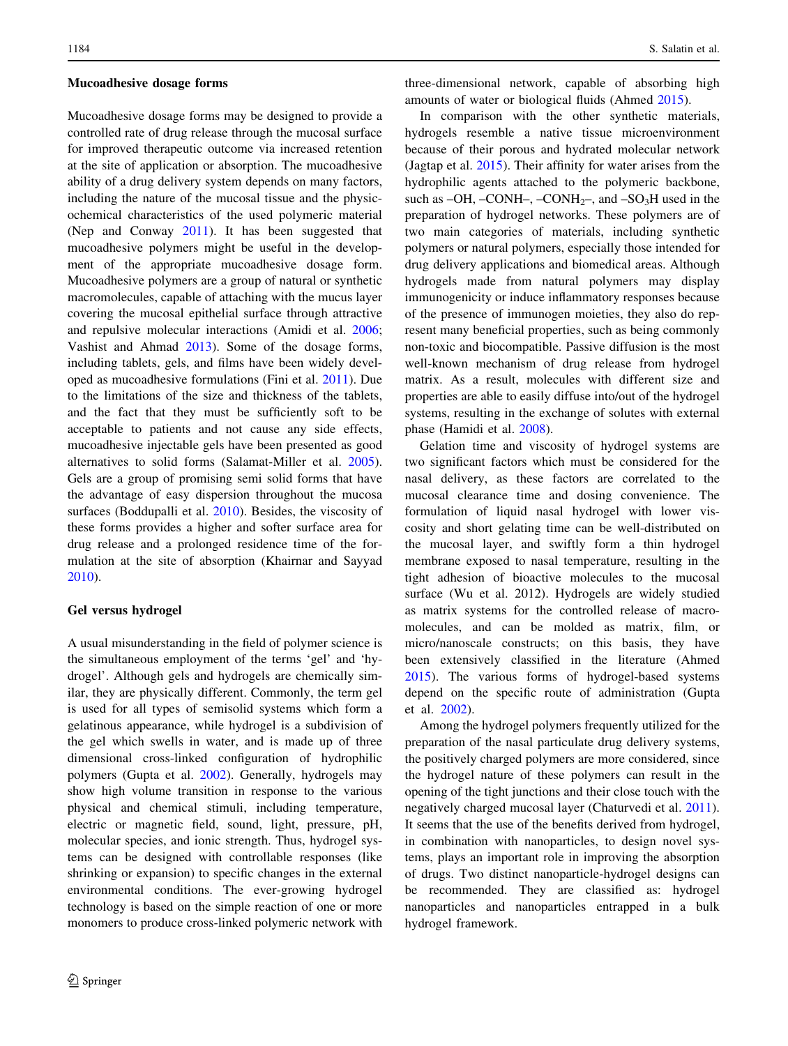#### Mucoadhesive dosage forms

Mucoadhesive dosage forms may be designed to provide a controlled rate of drug release through the mucosal surface for improved therapeutic outcome via increased retention at the site of application or absorption. The mucoadhesive ability of a drug delivery system depends on many factors, including the nature of the mucosal tissue and the physicochemical characteristics of the used polymeric material (Nep and Conway [2011](#page-10-0)). It has been suggested that mucoadhesive polymers might be useful in the development of the appropriate mucoadhesive dosage form. Mucoadhesive polymers are a group of natural or synthetic macromolecules, capable of attaching with the mucus layer covering the mucosal epithelial surface through attractive and repulsive molecular interactions (Amidi et al. [2006](#page-9-0); Vashist and Ahmad [2013](#page-11-0)). Some of the dosage forms, including tablets, gels, and films have been widely developed as mucoadhesive formulations (Fini et al. [2011\)](#page-10-0). Due to the limitations of the size and thickness of the tablets, and the fact that they must be sufficiently soft to be acceptable to patients and not cause any side effects, mucoadhesive injectable gels have been presented as good alternatives to solid forms (Salamat-Miller et al. [2005](#page-11-0)). Gels are a group of promising semi solid forms that have the advantage of easy dispersion throughout the mucosa surfaces (Boddupalli et al. [2010](#page-9-0)). Besides, the viscosity of these forms provides a higher and softer surface area for drug release and a prolonged residence time of the formulation at the site of absorption (Khairnar and Sayyad [2010\)](#page-10-0).

### Gel versus hydrogel

A usual misunderstanding in the field of polymer science is the simultaneous employment of the terms 'gel' and 'hydrogel'. Although gels and hydrogels are chemically similar, they are physically different. Commonly, the term gel is used for all types of semisolid systems which form a gelatinous appearance, while hydrogel is a subdivision of the gel which swells in water, and is made up of three dimensional cross-linked configuration of hydrophilic polymers (Gupta et al. [2002](#page-10-0)). Generally, hydrogels may show high volume transition in response to the various physical and chemical stimuli, including temperature, electric or magnetic field, sound, light, pressure, pH, molecular species, and ionic strength. Thus, hydrogel systems can be designed with controllable responses (like shrinking or expansion) to specific changes in the external environmental conditions. The ever-growing hydrogel technology is based on the simple reaction of one or more monomers to produce cross-linked polymeric network with

three-dimensional network, capable of absorbing high amounts of water or biological fluids (Ahmed [2015](#page-9-0)).

In comparison with the other synthetic materials, hydrogels resemble a native tissue microenvironment because of their porous and hydrated molecular network (Jagtap et al. [2015](#page-10-0)). Their affinity for water arises from the hydrophilic agents attached to the polymeric backbone, such as  $-OH$ ,  $-CONH$ –,  $-CONH$ <sub>2</sub>–, and  $-SO<sub>3</sub>H$  used in the preparation of hydrogel networks. These polymers are of two main categories of materials, including synthetic polymers or natural polymers, especially those intended for drug delivery applications and biomedical areas. Although hydrogels made from natural polymers may display immunogenicity or induce inflammatory responses because of the presence of immunogen moieties, they also do represent many beneficial properties, such as being commonly non-toxic and biocompatible. Passive diffusion is the most well-known mechanism of drug release from hydrogel matrix. As a result, molecules with different size and properties are able to easily diffuse into/out of the hydrogel systems, resulting in the exchange of solutes with external phase (Hamidi et al. [2008\)](#page-10-0).

Gelation time and viscosity of hydrogel systems are two significant factors which must be considered for the nasal delivery, as these factors are correlated to the mucosal clearance time and dosing convenience. The formulation of liquid nasal hydrogel with lower viscosity and short gelating time can be well-distributed on the mucosal layer, and swiftly form a thin hydrogel membrane exposed to nasal temperature, resulting in the tight adhesion of bioactive molecules to the mucosal surface (Wu et al. 2012). Hydrogels are widely studied as matrix systems for the controlled release of macromolecules, and can be molded as matrix, film, or micro/nanoscale constructs; on this basis, they have been extensively classified in the literature (Ahmed [2015](#page-9-0)). The various forms of hydrogel-based systems depend on the specific route of administration (Gupta et al. [2002](#page-10-0)).

Among the hydrogel polymers frequently utilized for the preparation of the nasal particulate drug delivery systems, the positively charged polymers are more considered, since the hydrogel nature of these polymers can result in the opening of the tight junctions and their close touch with the negatively charged mucosal layer (Chaturvedi et al. [2011](#page-9-0)). It seems that the use of the benefits derived from hydrogel, in combination with nanoparticles, to design novel systems, plays an important role in improving the absorption of drugs. Two distinct nanoparticle-hydrogel designs can be recommended. They are classified as: hydrogel nanoparticles and nanoparticles entrapped in a bulk hydrogel framework.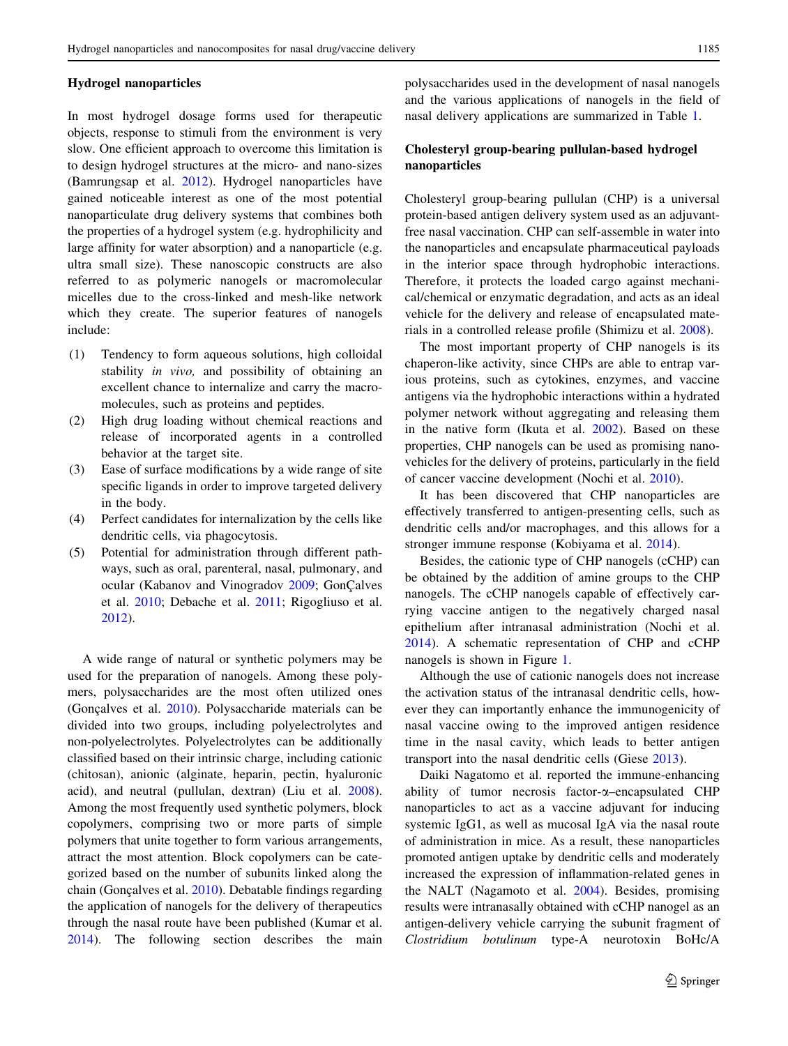#### Hydrogel nanoparticles

In most hydrogel dosage forms used for therapeutic objects, response to stimuli from the environment is very slow. One efficient approach to overcome this limitation is to design hydrogel structures at the micro- and nano-sizes (Bamrungsap et al. [2012\)](#page-9-0). Hydrogel nanoparticles have gained noticeable interest as one of the most potential nanoparticulate drug delivery systems that combines both the properties of a hydrogel system (e.g. hydrophilicity and large affinity for water absorption) and a nanoparticle (e.g. ultra small size). These nanoscopic constructs are also referred to as polymeric nanogels or macromolecular micelles due to the cross-linked and mesh-like network which they create. The superior features of nanogels include:

- (1) Tendency to form aqueous solutions, high colloidal stability in vivo, and possibility of obtaining an excellent chance to internalize and carry the macromolecules, such as proteins and peptides.
- (2) High drug loading without chemical reactions and release of incorporated agents in a controlled behavior at the target site.
- (3) Ease of surface modifications by a wide range of site specific ligands in order to improve targeted delivery in the body.
- (4) Perfect candidates for internalization by the cells like dendritic cells, via phagocytosis.
- (5) Potential for administration through different pathways, such as oral, parenteral, nasal, pulmonary, and ocular (Kabanov and Vinogradov [2009](#page-10-0); GonCalves et al. [2010;](#page-10-0) Debache et al. [2011](#page-9-0); Rigogliuso et al. [2012\)](#page-11-0).

A wide range of natural or synthetic polymers may be used for the preparation of nanogels. Among these polymers, polysaccharides are the most often utilized ones (Gonçalves et al. [2010\)](#page-10-0). Polysaccharide materials can be divided into two groups, including polyelectrolytes and non-polyelectrolytes. Polyelectrolytes can be additionally classified based on their intrinsic charge, including cationic (chitosan), anionic (alginate, heparin, pectin, hyaluronic acid), and neutral (pullulan, dextran) (Liu et al. [2008](#page-10-0)). Among the most frequently used synthetic polymers, block copolymers, comprising two or more parts of simple polymers that unite together to form various arrangements, attract the most attention. Block copolymers can be categorized based on the number of subunits linked along the chain (Gonçalves et al. [2010\)](#page-10-0). Debatable findings regarding the application of nanogels for the delivery of therapeutics through the nasal route have been published (Kumar et al. [2014\)](#page-10-0). The following section describes the main polysaccharides used in the development of nasal nanogels and the various applications of nanogels in the field of nasal delivery applications are summarized in Table [1](#page-5-0).

# Cholesteryl group-bearing pullulan-based hydrogel nanoparticles

Cholesteryl group-bearing pullulan (CHP) is a universal protein-based antigen delivery system used as an adjuvantfree nasal vaccination. CHP can self-assemble in water into the nanoparticles and encapsulate pharmaceutical payloads in the interior space through hydrophobic interactions. Therefore, it protects the loaded cargo against mechanical/chemical or enzymatic degradation, and acts as an ideal vehicle for the delivery and release of encapsulated materials in a controlled release profile (Shimizu et al. [2008\)](#page-11-0).

The most important property of CHP nanogels is its chaperon-like activity, since CHPs are able to entrap various proteins, such as cytokines, enzymes, and vaccine antigens via the hydrophobic interactions within a hydrated polymer network without aggregating and releasing them in the native form (Ikuta et al. [2002\)](#page-10-0). Based on these properties, CHP nanogels can be used as promising nanovehicles for the delivery of proteins, particularly in the field of cancer vaccine development (Nochi et al. [2010](#page-10-0)).

It has been discovered that CHP nanoparticles are effectively transferred to antigen-presenting cells, such as dendritic cells and/or macrophages, and this allows for a stronger immune response (Kobiyama et al. [2014\)](#page-10-0).

Besides, the cationic type of CHP nanogels (cCHP) can be obtained by the addition of amine groups to the CHP nanogels. The cCHP nanogels capable of effectively carrying vaccine antigen to the negatively charged nasal epithelium after intranasal administration (Nochi et al. [2014](#page-10-0)). A schematic representation of CHP and cCHP nanogels is shown in Figure [1.](#page-6-0)

Although the use of cationic nanogels does not increase the activation status of the intranasal dendritic cells, however they can importantly enhance the immunogenicity of nasal vaccine owing to the improved antigen residence time in the nasal cavity, which leads to better antigen transport into the nasal dendritic cells (Giese [2013\)](#page-10-0).

Daiki Nagatomo et al. reported the immune-enhancing ability of tumor necrosis factor-a–encapsulated CHP nanoparticles to act as a vaccine adjuvant for inducing systemic IgG1, as well as mucosal IgA via the nasal route of administration in mice. As a result, these nanoparticles promoted antigen uptake by dendritic cells and moderately increased the expression of inflammation-related genes in the NALT (Nagamoto et al. [2004\)](#page-10-0). Besides, promising results were intranasally obtained with cCHP nanogel as an antigen-delivery vehicle carrying the subunit fragment of Clostridium botulinum type-A neurotoxin BoHc/A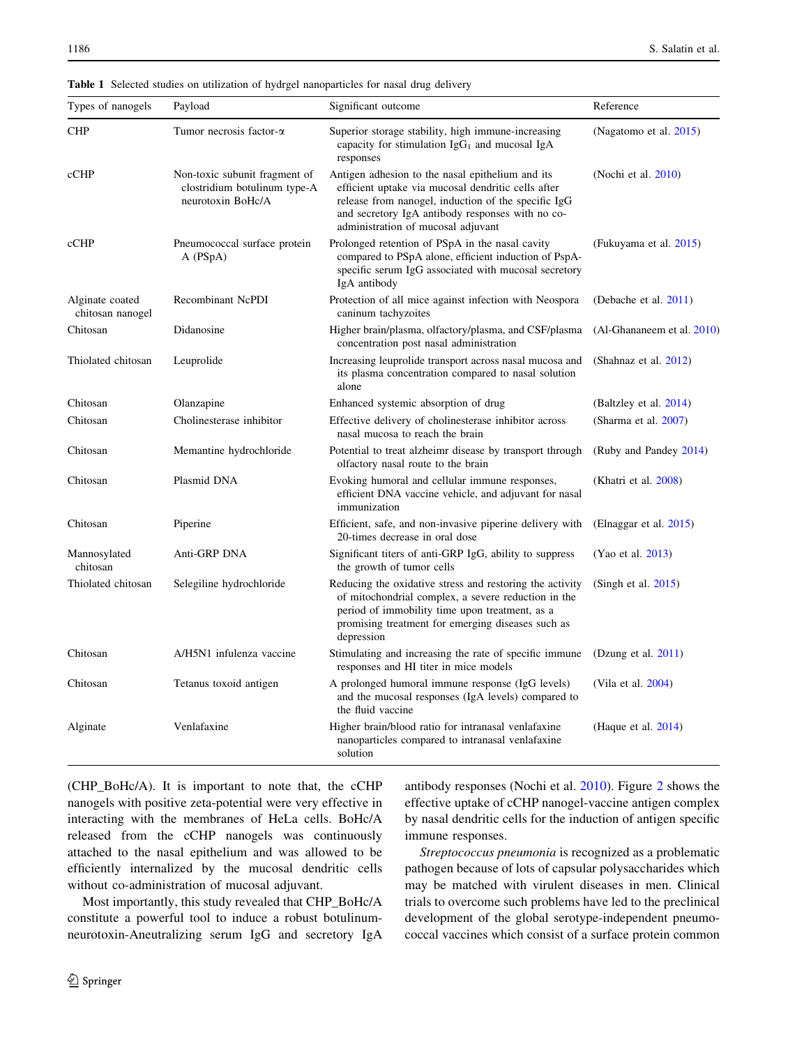| Types of nanogels                   | Payload                                                                            | Significant outcome                                                                                                                                                                                                                                     | Reference                    |
|-------------------------------------|------------------------------------------------------------------------------------|---------------------------------------------------------------------------------------------------------------------------------------------------------------------------------------------------------------------------------------------------------|------------------------------|
| <b>CHP</b>                          | Tumor necrosis factor- $\alpha$                                                    | Superior storage stability, high immune-increasing<br>capacity for stimulation $\text{IgG}_1$ and mucosal IgA<br>responses                                                                                                                              | (Nagatomo et al. 2015)       |
| cCHP                                | Non-toxic subunit fragment of<br>clostridium botulinum type-A<br>neurotoxin BoHc/A | Antigen adhesion to the nasal epithelium and its<br>efficient uptake via mucosal dendritic cells after<br>release from nanogel, induction of the specific IgG<br>and secretory IgA antibody responses with no co-<br>administration of mucosal adjuvant | (Nochi et al. $2010$ )       |
| cCHP                                | Pneumococcal surface protein<br>A (PSpA)                                           | Prolonged retention of PSpA in the nasal cavity<br>compared to PSpA alone, efficient induction of PspA-<br>specific serum IgG associated with mucosal secretory<br>IgA antibody                                                                         | (Fukuyama et al. 2015)       |
| Alginate coated<br>chitosan nanogel | Recombinant NcPDI                                                                  | Protection of all mice against infection with Neospora<br>caninum tachyzoites                                                                                                                                                                           | (Debache et al. 2011)        |
| Chitosan                            | Didanosine                                                                         | Higher brain/plasma, olfactory/plasma, and CSF/plasma<br>concentration post nasal administration                                                                                                                                                        | $(Al-Ghanaeeem et al. 2010)$ |
| Thiolated chitosan                  | Leuprolide                                                                         | Increasing leuprolide transport across nasal mucosa and<br>its plasma concentration compared to nasal solution<br>alone                                                                                                                                 | (Shahnaz et al. $2012$ )     |
| Chitosan                            | Olanzapine                                                                         | Enhanced systemic absorption of drug                                                                                                                                                                                                                    | (Baltzley et al. 2014)       |
| Chitosan                            | Cholinesterase inhibitor                                                           | Effective delivery of cholinesterase inhibitor across<br>nasal mucosa to reach the brain                                                                                                                                                                | (Sharma et al. $2007$ )      |
| Chitosan                            | Memantine hydrochloride                                                            | Potential to treat alzheimr disease by transport through<br>olfactory nasal route to the brain                                                                                                                                                          | (Ruby and Pandey 2014)       |
| Chitosan                            | Plasmid DNA                                                                        | Evoking humoral and cellular immune responses,<br>efficient DNA vaccine vehicle, and adjuvant for nasal<br>immunization                                                                                                                                 | (Khatri et al. 2008)         |
| Chitosan                            | Piperine                                                                           | Efficient, safe, and non-invasive piperine delivery with<br>20-times decrease in oral dose                                                                                                                                                              | (Elnaggar et al. $2015$ )    |
| Mannosylated<br>chitosan            | Anti-GRP DNA                                                                       | Significant titers of anti-GRP IgG, ability to suppress<br>the growth of tumor cells                                                                                                                                                                    | (Yao et al. 2013)            |
| Thiolated chitosan                  | Selegiline hydrochloride                                                           | Reducing the oxidative stress and restoring the activity<br>of mitochondrial complex, a severe reduction in the<br>period of immobility time upon treatment, as a<br>promising treatment for emerging diseases such as<br>depression                    | (Singh et al. $2015$ )       |
| Chitosan                            | A/H5N1 infulenza vaccine                                                           | Stimulating and increasing the rate of specific immune<br>responses and HI titer in mice models                                                                                                                                                         | (Dzung et al. $2011$ )       |
| Chitosan                            | Tetanus toxoid antigen                                                             | A prolonged humoral immune response (IgG levels)<br>and the mucosal responses (IgA levels) compared to<br>the fluid vaccine                                                                                                                             | (Vila et al. 2004)           |
| Alginate                            | Venlafaxine                                                                        | Higher brain/blood ratio for intranasal venlafaxine<br>nanoparticles compared to intranasal venlafaxine<br>solution                                                                                                                                     | (Haque et al. $2014$ )       |

<span id="page-5-0"></span>Table 1 Selected studies on utilization of hydrgel nanoparticles for nasal drug delivery

(CHP\_BoHc/A). It is important to note that, the cCHP nanogels with positive zeta-potential were very effective in interacting with the membranes of HeLa cells. BoHc/A released from the cCHP nanogels was continuously attached to the nasal epithelium and was allowed to be efficiently internalized by the mucosal dendritic cells without co-administration of mucosal adjuvant.

Most importantly, this study revealed that CHP\_BoHc/A constitute a powerful tool to induce a robust botulinumneurotoxin-Aneutralizing serum IgG and secretory IgA

antibody responses (Nochi et al. [2010\)](#page-10-0). Figure [2](#page-6-0) shows the effective uptake of cCHP nanogel-vaccine antigen complex by nasal dendritic cells for the induction of antigen specific immune responses.

Streptococcus pneumonia is recognized as a problematic pathogen because of lots of capsular polysaccharides which may be matched with virulent diseases in men. Clinical trials to overcome such problems have led to the preclinical development of the global serotype-independent pneumococcal vaccines which consist of a surface protein common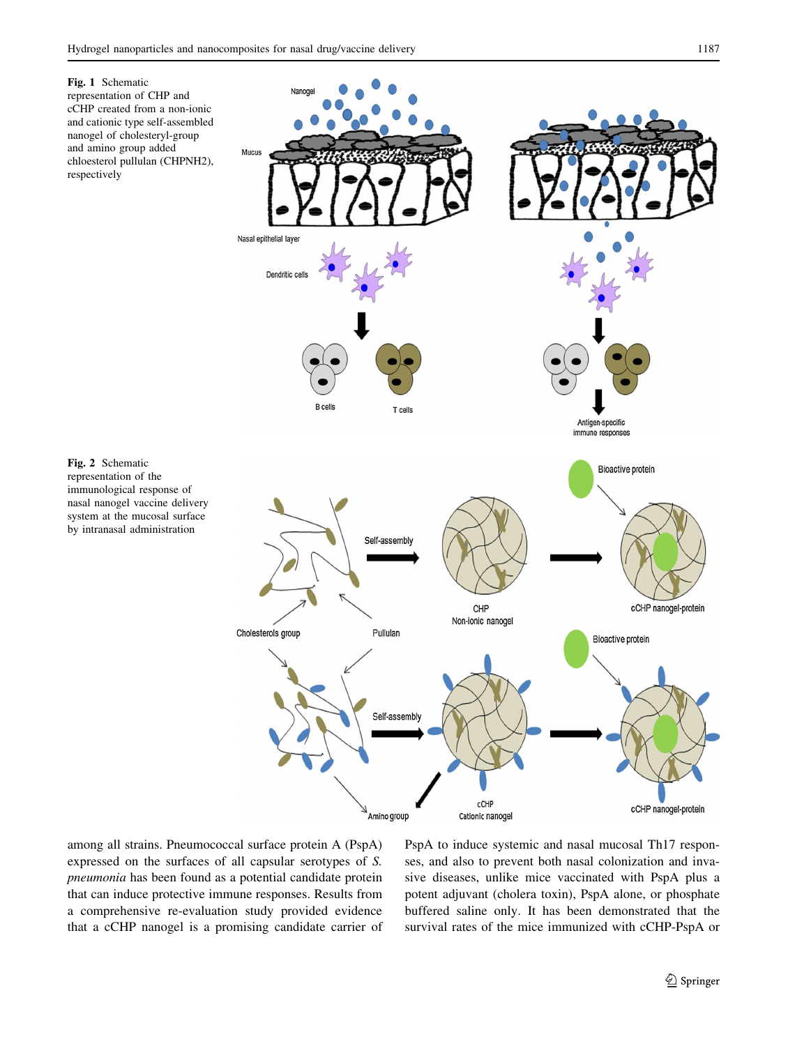<span id="page-6-0"></span>

among all strains. Pneumococcal surface protein A (PspA) expressed on the surfaces of all capsular serotypes of S. pneumonia has been found as a potential candidate protein that can induce protective immune responses. Results from a comprehensive re-evaluation study provided evidence that a cCHP nanogel is a promising candidate carrier of PspA to induce systemic and nasal mucosal Th17 responses, and also to prevent both nasal colonization and invasive diseases, unlike mice vaccinated with PspA plus a potent adjuvant (cholera toxin), PspA alone, or phosphate buffered saline only. It has been demonstrated that the survival rates of the mice immunized with cCHP-PspA or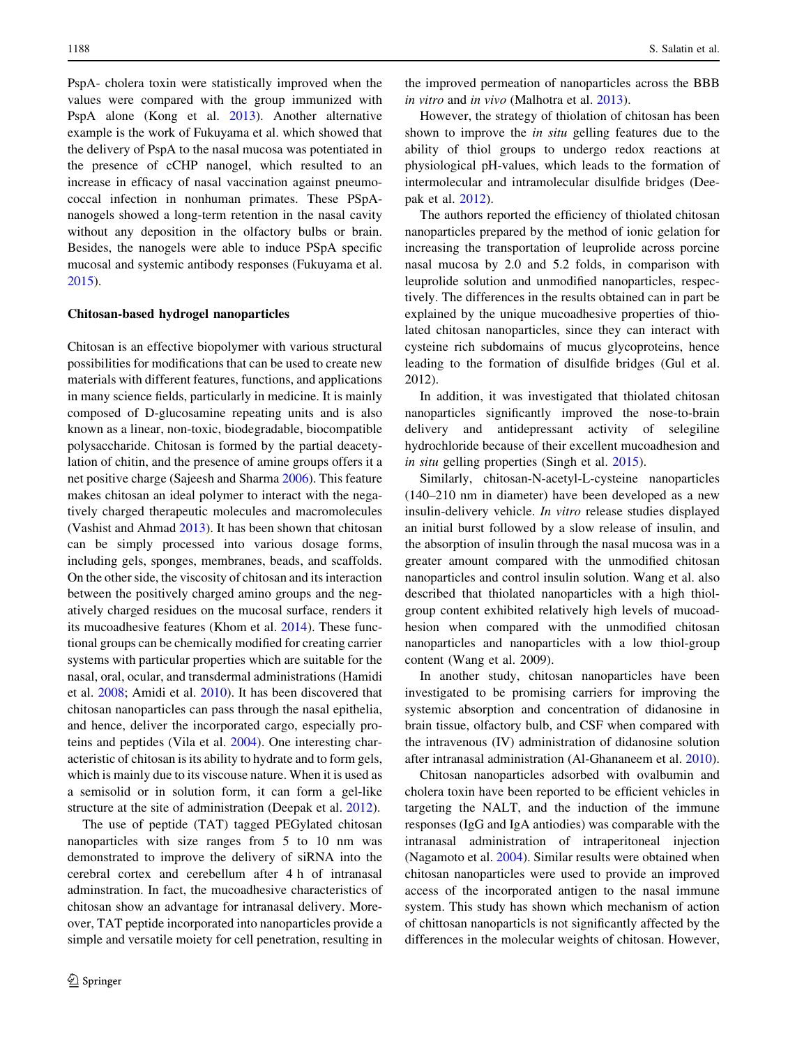PspA- cholera toxin were statistically improved when the values were compared with the group immunized with PspA alone (Kong et al. [2013](#page-10-0)). Another alternative example is the work of Fukuyama et al. which showed that the delivery of PspA to the nasal mucosa was potentiated in the presence of cCHP nanogel, which resulted to an increase in efficacy of nasal vaccination against pneumococcal infection in nonhuman primates. These PSpAnanogels showed a long-term retention in the nasal cavity without any deposition in the olfactory bulbs or brain. Besides, the nanogels were able to induce PSpA specific mucosal and systemic antibody responses (Fukuyama et al. [2015\)](#page-10-0).

#### Chitosan-based hydrogel nanoparticles

Chitosan is an effective biopolymer with various structural possibilities for modifications that can be used to create new materials with different features, functions, and applications in many science fields, particularly in medicine. It is mainly composed of D-glucosamine repeating units and is also known as a linear, non-toxic, biodegradable, biocompatible polysaccharide. Chitosan is formed by the partial deacetylation of chitin, and the presence of amine groups offers it a net positive charge (Sajeesh and Sharma [2006](#page-11-0)). This feature makes chitosan an ideal polymer to interact with the negatively charged therapeutic molecules and macromolecules (Vashist and Ahmad [2013\)](#page-11-0). It has been shown that chitosan can be simply processed into various dosage forms, including gels, sponges, membranes, beads, and scaffolds. On the other side, the viscosity of chitosan and its interaction between the positively charged amino groups and the negatively charged residues on the mucosal surface, renders it its mucoadhesive features (Khom et al. [2014](#page-10-0)). These functional groups can be chemically modified for creating carrier systems with particular properties which are suitable for the nasal, oral, ocular, and transdermal administrations (Hamidi et al. [2008](#page-10-0); Amidi et al. [2010](#page-9-0)). It has been discovered that chitosan nanoparticles can pass through the nasal epithelia, and hence, deliver the incorporated cargo, especially proteins and peptides (Vila et al. [2004](#page-11-0)). One interesting characteristic of chitosan is its ability to hydrate and to form gels, which is mainly due to its viscouse nature. When it is used as a semisolid or in solution form, it can form a gel-like structure at the site of administration (Deepak et al. [2012\)](#page-9-0).

The use of peptide (TAT) tagged PEGylated chitosan nanoparticles with size ranges from 5 to 10 nm was demonstrated to improve the delivery of siRNA into the cerebral cortex and cerebellum after 4 h of intranasal adminstration. In fact, the mucoadhesive characteristics of chitosan show an advantage for intranasal delivery. Moreover, TAT peptide incorporated into nanoparticles provide a simple and versatile moiety for cell penetration, resulting in

the improved permeation of nanoparticles across the BBB in vitro and in vivo (Malhotra et al. [2013](#page-10-0)).

However, the strategy of thiolation of chitosan has been shown to improve the in situ gelling features due to the ability of thiol groups to undergo redox reactions at physiological pH-values, which leads to the formation of intermolecular and intramolecular disulfide bridges (Deepak et al. [2012\)](#page-9-0).

The authors reported the efficiency of thiolated chitosan nanoparticles prepared by the method of ionic gelation for increasing the transportation of leuprolide across porcine nasal mucosa by 2.0 and 5.2 folds, in comparison with leuprolide solution and unmodified nanoparticles, respectively. The differences in the results obtained can in part be explained by the unique mucoadhesive properties of thiolated chitosan nanoparticles, since they can interact with cysteine rich subdomains of mucus glycoproteins, hence leading to the formation of disulfide bridges (Gul et al. 2012).

In addition, it was investigated that thiolated chitosan nanoparticles significantly improved the nose-to-brain delivery and antidepressant activity of selegiline hydrochloride because of their excellent mucoadhesion and in situ gelling properties (Singh et al. [2015](#page-11-0)).

Similarly, chitosan-N-acetyl-L-cysteine nanoparticles (140–210 nm in diameter) have been developed as a new insulin-delivery vehicle. In vitro release studies displayed an initial burst followed by a slow release of insulin, and the absorption of insulin through the nasal mucosa was in a greater amount compared with the unmodified chitosan nanoparticles and control insulin solution. Wang et al. also described that thiolated nanoparticles with a high thiolgroup content exhibited relatively high levels of mucoadhesion when compared with the unmodified chitosan nanoparticles and nanoparticles with a low thiol-group content (Wang et al. 2009).

In another study, chitosan nanoparticles have been investigated to be promising carriers for improving the systemic absorption and concentration of didanosine in brain tissue, olfactory bulb, and CSF when compared with the intravenous (IV) administration of didanosine solution after intranasal administration (Al-Ghananeem et al. [2010](#page-9-0)).

Chitosan nanoparticles adsorbed with ovalbumin and cholera toxin have been reported to be efficient vehicles in targeting the NALT, and the induction of the immune responses (IgG and IgA antiodies) was comparable with the intranasal administration of intraperitoneal injection (Nagamoto et al. [2004](#page-10-0)). Similar results were obtained when chitosan nanoparticles were used to provide an improved access of the incorporated antigen to the nasal immune system. This study has shown which mechanism of action of chittosan nanoparticls is not significantly affected by the differences in the molecular weights of chitosan. However,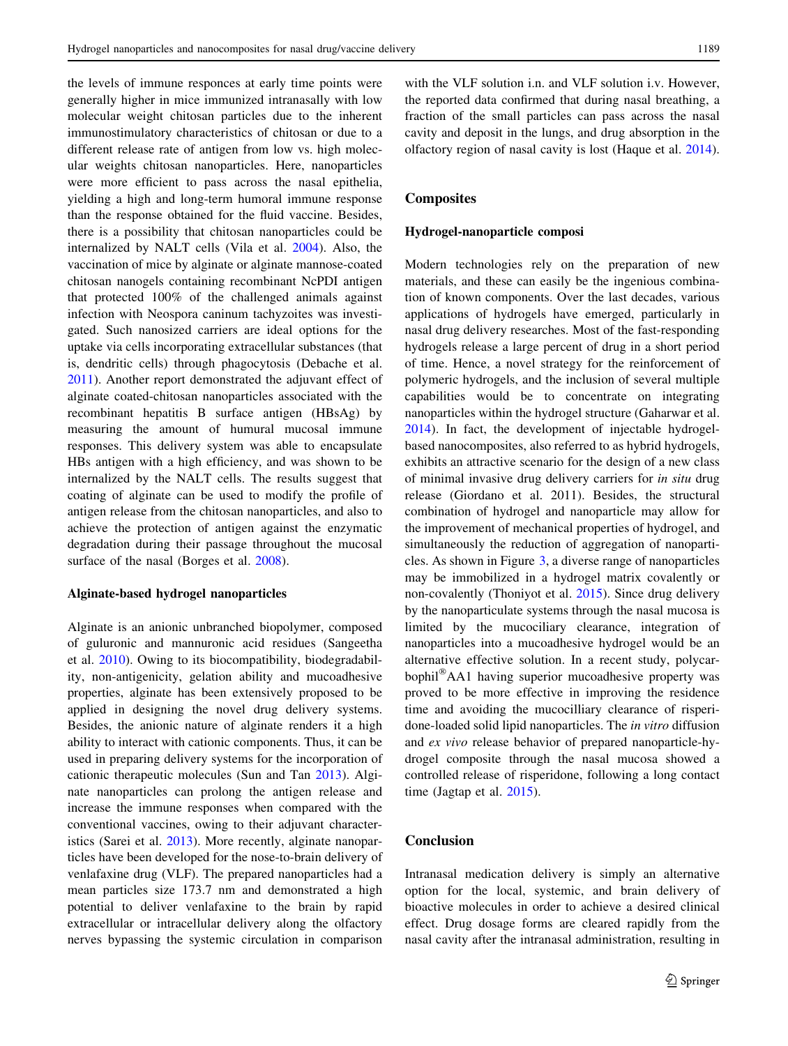the levels of immune responces at early time points were generally higher in mice immunized intranasally with low molecular weight chitosan particles due to the inherent immunostimulatory characteristics of chitosan or due to a different release rate of antigen from low vs. high molecular weights chitosan nanoparticles. Here, nanoparticles were more efficient to pass across the nasal epithelia, yielding a high and long-term humoral immune response than the response obtained for the fluid vaccine. Besides, there is a possibility that chitosan nanoparticles could be internalized by NALT cells (Vila et al. [2004](#page-11-0)). Also, the vaccination of mice by alginate or alginate mannose-coated chitosan nanogels containing recombinant NcPDI antigen that protected 100% of the challenged animals against infection with Neospora caninum tachyzoites was investigated. Such nanosized carriers are ideal options for the uptake via cells incorporating extracellular substances (that is, dendritic cells) through phagocytosis (Debache et al. [2011\)](#page-9-0). Another report demonstrated the adjuvant effect of alginate coated-chitosan nanoparticles associated with the recombinant hepatitis B surface antigen (HBsAg) by measuring the amount of humural mucosal immune responses. This delivery system was able to encapsulate HBs antigen with a high efficiency, and was shown to be internalized by the NALT cells. The results suggest that coating of alginate can be used to modify the profile of antigen release from the chitosan nanoparticles, and also to achieve the protection of antigen against the enzymatic degradation during their passage throughout the mucosal surface of the nasal (Borges et al. [2008\)](#page-9-0).

# Alginate-based hydrogel nanoparticles

Alginate is an anionic unbranched biopolymer, composed of guluronic and mannuronic acid residues (Sangeetha et al. [2010\)](#page-11-0). Owing to its biocompatibility, biodegradability, non-antigenicity, gelation ability and mucoadhesive properties, alginate has been extensively proposed to be applied in designing the novel drug delivery systems. Besides, the anionic nature of alginate renders it a high ability to interact with cationic components. Thus, it can be used in preparing delivery systems for the incorporation of cationic therapeutic molecules (Sun and Tan [2013\)](#page-11-0). Alginate nanoparticles can prolong the antigen release and increase the immune responses when compared with the conventional vaccines, owing to their adjuvant characteristics (Sarei et al. [2013\)](#page-11-0). More recently, alginate nanoparticles have been developed for the nose-to-brain delivery of venlafaxine drug (VLF). The prepared nanoparticles had a mean particles size 173.7 nm and demonstrated a high potential to deliver venlafaxine to the brain by rapid extracellular or intracellular delivery along the olfactory nerves bypassing the systemic circulation in comparison

with the VLF solution *i.n.* and VLF solution *i.v.* However, the reported data confirmed that during nasal breathing, a fraction of the small particles can pass across the nasal cavity and deposit in the lungs, and drug absorption in the olfactory region of nasal cavity is lost (Haque et al. [2014](#page-10-0)).

## **Composites**

#### Hydrogel-nanoparticle composi

Modern technologies rely on the preparation of new materials, and these can easily be the ingenious combination of known components. Over the last decades, various applications of hydrogels have emerged, particularly in nasal drug delivery researches. Most of the fast-responding hydrogels release a large percent of drug in a short period of time. Hence, a novel strategy for the reinforcement of polymeric hydrogels, and the inclusion of several multiple capabilities would be to concentrate on integrating nanoparticles within the hydrogel structure (Gaharwar et al. [2014](#page-10-0)). In fact, the development of injectable hydrogelbased nanocomposites, also referred to as hybrid hydrogels, exhibits an attractive scenario for the design of a new class of minimal invasive drug delivery carriers for in situ drug release (Giordano et al. 2011). Besides, the structural combination of hydrogel and nanoparticle may allow for the improvement of mechanical properties of hydrogel, and simultaneously the reduction of aggregation of nanoparticles. As shown in Figure [3,](#page-9-0) a diverse range of nanoparticles may be immobilized in a hydrogel matrix covalently or non-covalently (Thoniyot et al. [2015\)](#page-11-0). Since drug delivery by the nanoparticulate systems through the nasal mucosa is limited by the mucociliary clearance, integration of nanoparticles into a mucoadhesive hydrogel would be an alternative effective solution. In a recent study, polycarbophil<sup>®</sup>AA1 having superior mucoadhesive property was proved to be more effective in improving the residence time and avoiding the mucocilliary clearance of risperidone-loaded solid lipid nanoparticles. The in vitro diffusion and ex vivo release behavior of prepared nanoparticle-hydrogel composite through the nasal mucosa showed a controlled release of risperidone, following a long contact time (Jagtap et al. [2015](#page-10-0)).

# **Conclusion**

Intranasal medication delivery is simply an alternative option for the local, systemic, and brain delivery of bioactive molecules in order to achieve a desired clinical effect. Drug dosage forms are cleared rapidly from the nasal cavity after the intranasal administration, resulting in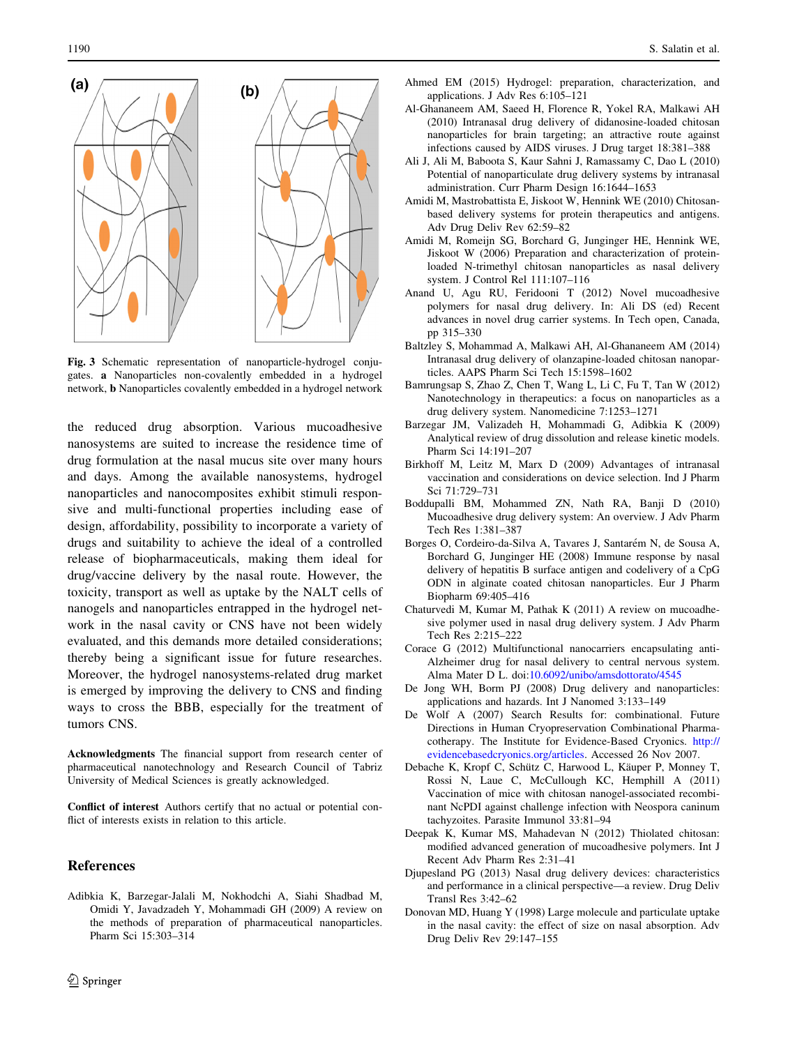<span id="page-9-0"></span>

Fig. 3 Schematic representation of nanoparticle-hydrogel conjugates. a Nanoparticles non-covalently embedded in a hydrogel network, b Nanoparticles covalently embedded in a hydrogel network

the reduced drug absorption. Various mucoadhesive nanosystems are suited to increase the residence time of drug formulation at the nasal mucus site over many hours and days. Among the available nanosystems, hydrogel nanoparticles and nanocomposites exhibit stimuli responsive and multi-functional properties including ease of design, affordability, possibility to incorporate a variety of drugs and suitability to achieve the ideal of a controlled release of biopharmaceuticals, making them ideal for drug/vaccine delivery by the nasal route. However, the toxicity, transport as well as uptake by the NALT cells of nanogels and nanoparticles entrapped in the hydrogel network in the nasal cavity or CNS have not been widely evaluated, and this demands more detailed considerations; thereby being a significant issue for future researches. Moreover, the hydrogel nanosystems-related drug market is emerged by improving the delivery to CNS and finding ways to cross the BBB, especially for the treatment of tumors CNS.

Acknowledgments The financial support from research center of pharmaceutical nanotechnology and Research Council of Tabriz University of Medical Sciences is greatly acknowledged.

Conflict of interest Authors certify that no actual or potential conflict of interests exists in relation to this article.

# References

Adibkia K, Barzegar-Jalali M, Nokhodchi A, Siahi Shadbad M, Omidi Y, Javadzadeh Y, Mohammadi GH (2009) A review on the methods of preparation of pharmaceutical nanoparticles. Pharm Sci 15:303–314

- Ahmed EM (2015) Hydrogel: preparation, characterization, and applications. J Adv Res 6:105–121
- Al-Ghananeem AM, Saeed H, Florence R, Yokel RA, Malkawi AH (2010) Intranasal drug delivery of didanosine-loaded chitosan nanoparticles for brain targeting; an attractive route against infections caused by AIDS viruses. J Drug target 18:381–388
- Ali J, Ali M, Baboota S, Kaur Sahni J, Ramassamy C, Dao L (2010) Potential of nanoparticulate drug delivery systems by intranasal administration. Curr Pharm Design 16:1644–1653
- Amidi M, Mastrobattista E, Jiskoot W, Hennink WE (2010) Chitosanbased delivery systems for protein therapeutics and antigens. Adv Drug Deliv Rev 62:59–82
- Amidi M, Romeijn SG, Borchard G, Junginger HE, Hennink WE, Jiskoot W (2006) Preparation and characterization of proteinloaded N-trimethyl chitosan nanoparticles as nasal delivery system. J Control Rel 111:107–116
- Anand U, Agu RU, Feridooni T (2012) Novel mucoadhesive polymers for nasal drug delivery. In: Ali DS (ed) Recent advances in novel drug carrier systems. In Tech open, Canada, pp 315–330
- Baltzley S, Mohammad A, Malkawi AH, Al-Ghananeem AM (2014) Intranasal drug delivery of olanzapine-loaded chitosan nanoparticles. AAPS Pharm Sci Tech 15:1598–1602
- Bamrungsap S, Zhao Z, Chen T, Wang L, Li C, Fu T, Tan W (2012) Nanotechnology in therapeutics: a focus on nanoparticles as a drug delivery system. Nanomedicine 7:1253–1271
- Barzegar JM, Valizadeh H, Mohammadi G, Adibkia K (2009) Analytical review of drug dissolution and release kinetic models. Pharm Sci 14:191–207
- Birkhoff M, Leitz M, Marx D (2009) Advantages of intranasal vaccination and considerations on device selection. Ind J Pharm Sci 71:729–731
- Boddupalli BM, Mohammed ZN, Nath RA, Banji D (2010) Mucoadhesive drug delivery system: An overview. J Adv Pharm Tech Res 1:381–387
- Borges O, Cordeiro-da-Silva A, Tavares J, Santarém N, de Sousa A, Borchard G, Junginger HE (2008) Immune response by nasal delivery of hepatitis B surface antigen and codelivery of a CpG ODN in alginate coated chitosan nanoparticles. Eur J Pharm Biopharm 69:405–416
- Chaturvedi M, Kumar M, Pathak K (2011) A review on mucoadhesive polymer used in nasal drug delivery system. J Adv Pharm Tech Res 2:215–222
- Corace G (2012) Multifunctional nanocarriers encapsulating anti-Alzheimer drug for nasal delivery to central nervous system. Alma Mater D L. doi[:10.6092/unibo/amsdottorato/4545](http://dx.doi.org/10.6092/unibo/amsdottorato/4545)
- De Jong WH, Borm PJ (2008) Drug delivery and nanoparticles: applications and hazards. Int J Nanomed 3:133–149
- De Wolf A (2007) Search Results for: combinational. Future Directions in Human Cryopreservation Combinational Pharmacotherapy. The Institute for Evidence-Based Cryonics. [http://](http://evidencebasedcryonics.org/articles) [evidencebasedcryonics.org/articles.](http://evidencebasedcryonics.org/articles) Accessed 26 Nov 2007.
- Debache K, Kropf C, Schütz C, Harwood L, Käuper P, Monney T, Rossi N, Laue C, McCullough KC, Hemphill A (2011) Vaccination of mice with chitosan nanogel-associated recombinant NcPDI against challenge infection with Neospora caninum tachyzoites. Parasite Immunol 33:81–94
- Deepak K, Kumar MS, Mahadevan N (2012) Thiolated chitosan: modified advanced generation of mucoadhesive polymers. Int J Recent Adv Pharm Res 2:31–41
- Djupesland PG (2013) Nasal drug delivery devices: characteristics and performance in a clinical perspective—a review. Drug Deliv Transl Res 3:42–62
- Donovan MD, Huang Y (1998) Large molecule and particulate uptake in the nasal cavity: the effect of size on nasal absorption. Adv Drug Deliv Rev 29:147–155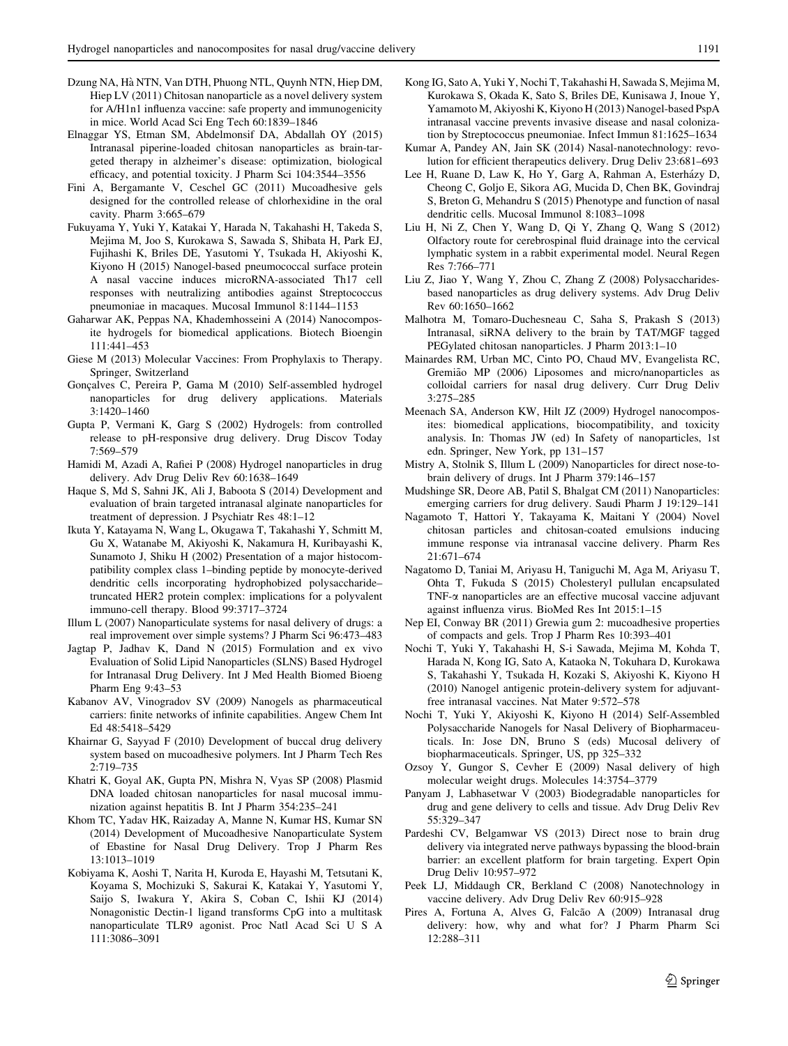- <span id="page-10-0"></span>Dzung NA, Ha` NTN, Van DTH, Phuong NTL, Quynh NTN, Hiep DM, Hiep LV (2011) Chitosan nanoparticle as a novel delivery system for A/H1n1 influenza vaccine: safe property and immunogenicity in mice. World Acad Sci Eng Tech 60:1839–1846
- Elnaggar YS, Etman SM, Abdelmonsif DA, Abdallah OY (2015) Intranasal piperine-loaded chitosan nanoparticles as brain-targeted therapy in alzheimer's disease: optimization, biological efficacy, and potential toxicity. J Pharm Sci 104:3544–3556
- Fini A, Bergamante V, Ceschel GC (2011) Mucoadhesive gels designed for the controlled release of chlorhexidine in the oral cavity. Pharm 3:665–679
- Fukuyama Y, Yuki Y, Katakai Y, Harada N, Takahashi H, Takeda S, Mejima M, Joo S, Kurokawa S, Sawada S, Shibata H, Park EJ, Fujihashi K, Briles DE, Yasutomi Y, Tsukada H, Akiyoshi K, Kiyono H (2015) Nanogel-based pneumococcal surface protein A nasal vaccine induces microRNA-associated Th17 cell responses with neutralizing antibodies against Streptococcus pneumoniae in macaques. Mucosal Immunol 8:1144–1153
- Gaharwar AK, Peppas NA, Khademhosseini A (2014) Nanocomposite hydrogels for biomedical applications. Biotech Bioengin 111:441–453
- Giese M (2013) Molecular Vaccines: From Prophylaxis to Therapy. Springer, Switzerland
- Gonçalves C, Pereira P, Gama M (2010) Self-assembled hydrogel nanoparticles for drug delivery applications. Materials 3:1420–1460
- Gupta P, Vermani K, Garg S (2002) Hydrogels: from controlled release to pH-responsive drug delivery. Drug Discov Today 7:569–579
- Hamidi M, Azadi A, Rafiei P (2008) Hydrogel nanoparticles in drug delivery. Adv Drug Deliv Rev 60:1638–1649
- Haque S, Md S, Sahni JK, Ali J, Baboota S (2014) Development and evaluation of brain targeted intranasal alginate nanoparticles for treatment of depression. J Psychiatr Res 48:1–12
- Ikuta Y, Katayama N, Wang L, Okugawa T, Takahashi Y, Schmitt M, Gu X, Watanabe M, Akiyoshi K, Nakamura H, Kuribayashi K, Sunamoto J, Shiku H (2002) Presentation of a major histocompatibility complex class 1–binding peptide by monocyte-derived dendritic cells incorporating hydrophobized polysaccharide– truncated HER2 protein complex: implications for a polyvalent immuno-cell therapy. Blood 99:3717–3724
- Illum L (2007) Nanoparticulate systems for nasal delivery of drugs: a real improvement over simple systems? J Pharm Sci 96:473–483
- Jagtap P, Jadhav K, Dand N (2015) Formulation and ex vivo Evaluation of Solid Lipid Nanoparticles (SLNS) Based Hydrogel for Intranasal Drug Delivery. Int J Med Health Biomed Bioeng Pharm Eng 9:43–53
- Kabanov AV, Vinogradov SV (2009) Nanogels as pharmaceutical carriers: finite networks of infinite capabilities. Angew Chem Int Ed 48:5418–5429
- Khairnar G, Sayyad F (2010) Development of buccal drug delivery system based on mucoadhesive polymers. Int J Pharm Tech Res 2:719–735
- Khatri K, Goyal AK, Gupta PN, Mishra N, Vyas SP (2008) Plasmid DNA loaded chitosan nanoparticles for nasal mucosal immunization against hepatitis B. Int J Pharm 354:235–241
- Khom TC, Yadav HK, Raizaday A, Manne N, Kumar HS, Kumar SN (2014) Development of Mucoadhesive Nanoparticulate System of Ebastine for Nasal Drug Delivery. Trop J Pharm Res 13:1013–1019
- Kobiyama K, Aoshi T, Narita H, Kuroda E, Hayashi M, Tetsutani K, Koyama S, Mochizuki S, Sakurai K, Katakai Y, Yasutomi Y, Saijo S, Iwakura Y, Akira S, Coban C, Ishii KJ (2014) Nonagonistic Dectin-1 ligand transforms CpG into a multitask nanoparticulate TLR9 agonist. Proc Natl Acad Sci U S A 111:3086–3091
- Kong IG, Sato A, Yuki Y, Nochi T, Takahashi H, Sawada S, Mejima M, Kurokawa S, Okada K, Sato S, Briles DE, Kunisawa J, Inoue Y, Yamamoto M, Akiyoshi K, Kiyono H (2013) Nanogel-based PspA intranasal vaccine prevents invasive disease and nasal colonization by Streptococcus pneumoniae. Infect Immun 81:1625–1634
- Kumar A, Pandey AN, Jain SK (2014) Nasal-nanotechnology: revolution for efficient therapeutics delivery. Drug Deliv 23:681–693
- Lee H, Ruane D, Law K, Ho Y, Garg A, Rahman A, Esterházy D, Cheong C, Goljo E, Sikora AG, Mucida D, Chen BK, Govindraj S, Breton G, Mehandru S (2015) Phenotype and function of nasal dendritic cells. Mucosal Immunol 8:1083–1098
- Liu H, Ni Z, Chen Y, Wang D, Qi Y, Zhang Q, Wang S (2012) Olfactory route for cerebrospinal fluid drainage into the cervical lymphatic system in a rabbit experimental model. Neural Regen Res 7:766–771
- Liu Z, Jiao Y, Wang Y, Zhou C, Zhang Z (2008) Polysaccharidesbased nanoparticles as drug delivery systems. Adv Drug Deliv Rev 60:1650–1662
- Malhotra M, Tomaro-Duchesneau C, Saha S, Prakash S (2013) Intranasal, siRNA delivery to the brain by TAT/MGF tagged PEGylated chitosan nanoparticles. J Pharm 2013:1–10
- Mainardes RM, Urban MC, Cinto PO, Chaud MV, Evangelista RC, Gremião MP (2006) Liposomes and micro/nanoparticles as colloidal carriers for nasal drug delivery. Curr Drug Deliv 3:275–285
- Meenach SA, Anderson KW, Hilt JZ (2009) Hydrogel nanocomposites: biomedical applications, biocompatibility, and toxicity analysis. In: Thomas JW (ed) In Safety of nanoparticles, 1st edn. Springer, New York, pp 131–157
- Mistry A, Stolnik S, Illum L (2009) Nanoparticles for direct nose-tobrain delivery of drugs. Int J Pharm 379:146–157
- Mudshinge SR, Deore AB, Patil S, Bhalgat CM (2011) Nanoparticles: emerging carriers for drug delivery. Saudi Pharm J 19:129–141
- Nagamoto T, Hattori Y, Takayama K, Maitani Y (2004) Novel chitosan particles and chitosan-coated emulsions inducing immune response via intranasal vaccine delivery. Pharm Res 21:671–674
- Nagatomo D, Taniai M, Ariyasu H, Taniguchi M, Aga M, Ariyasu T, Ohta T, Fukuda S (2015) Cholesteryl pullulan encapsulated TNF-a nanoparticles are an effective mucosal vaccine adjuvant against influenza virus. BioMed Res Int 2015:1–15
- Nep EI, Conway BR (2011) Grewia gum 2: mucoadhesive properties of compacts and gels. Trop J Pharm Res 10:393–401
- Nochi T, Yuki Y, Takahashi H, S-i Sawada, Mejima M, Kohda T, Harada N, Kong IG, Sato A, Kataoka N, Tokuhara D, Kurokawa S, Takahashi Y, Tsukada H, Kozaki S, Akiyoshi K, Kiyono H (2010) Nanogel antigenic protein-delivery system for adjuvantfree intranasal vaccines. Nat Mater 9:572–578
- Nochi T, Yuki Y, Akiyoshi K, Kiyono H (2014) Self-Assembled Polysaccharide Nanogels for Nasal Delivery of Biopharmaceuticals. In: Jose DN, Bruno S (eds) Mucosal delivery of biopharmaceuticals. Springer, US, pp 325–332
- Ozsoy Y, Gungor S, Cevher E (2009) Nasal delivery of high molecular weight drugs. Molecules 14:3754–3779
- Panyam J, Labhasetwar V (2003) Biodegradable nanoparticles for drug and gene delivery to cells and tissue. Adv Drug Deliv Rev 55:329–347
- Pardeshi CV, Belgamwar VS (2013) Direct nose to brain drug delivery via integrated nerve pathways bypassing the blood-brain barrier: an excellent platform for brain targeting. Expert Opin Drug Deliv 10:957–972
- Peek LJ, Middaugh CR, Berkland C (2008) Nanotechnology in vaccine delivery. Adv Drug Deliv Rev 60:915–928
- Pires A, Fortuna A, Alves G, Falcão A (2009) Intranasal drug delivery: how, why and what for? J Pharm Pharm Sci 12:288–311